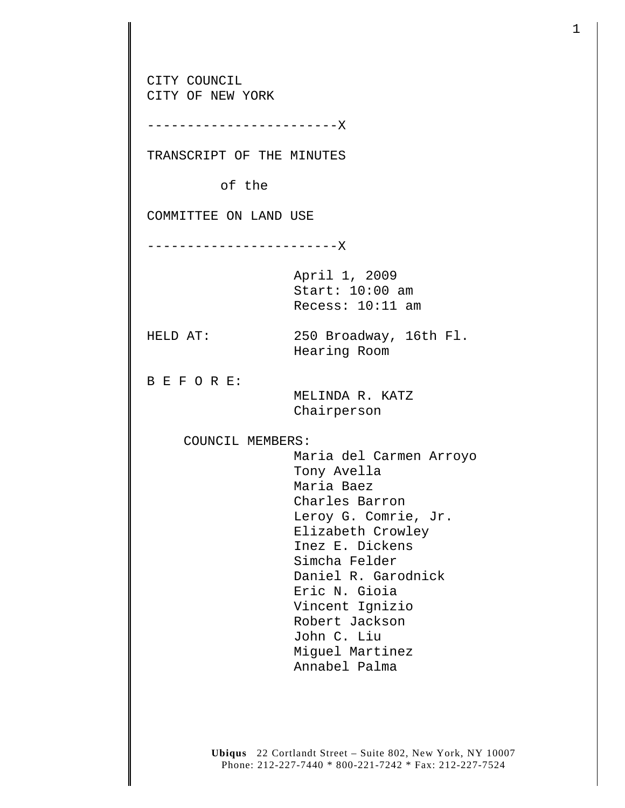CITY COUNCIL CITY OF NEW YORK ------------------------X TRANSCRIPT OF THE MINUTES of the COMMITTEE ON LAND USE ------------------------X April 1, 2009 Start: 10:00 am Recess: 10:11 am HELD AT: 250 Broadway, 16th Fl. Hearing Room B E F O R E: MELINDA R. KATZ Chairperson COUNCIL MEMBERS: Maria del Carmen Arroyo Tony Avella Maria Baez Charles Barron Leroy G. Comrie, Jr. Elizabeth Crowley Inez E. Dickens Simcha Felder Daniel R. Garodnick Eric N. Gioia Vincent Ignizio Robert Jackson John C. Liu Miguel Martinez Annabel Palma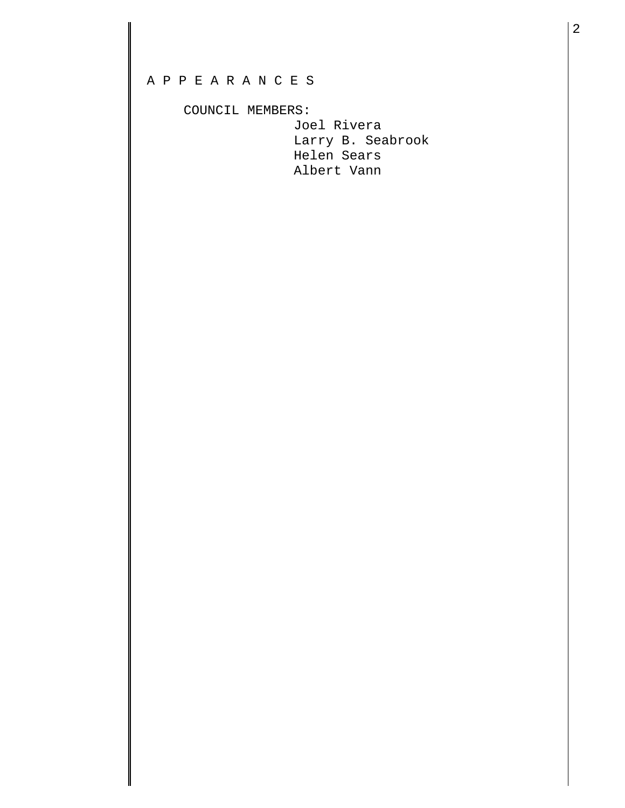## A P P E A R A N C E S

## COUNCIL MEMBERS:

 Joel Rivera Larry B. Seabrook Helen Sears Albert Vann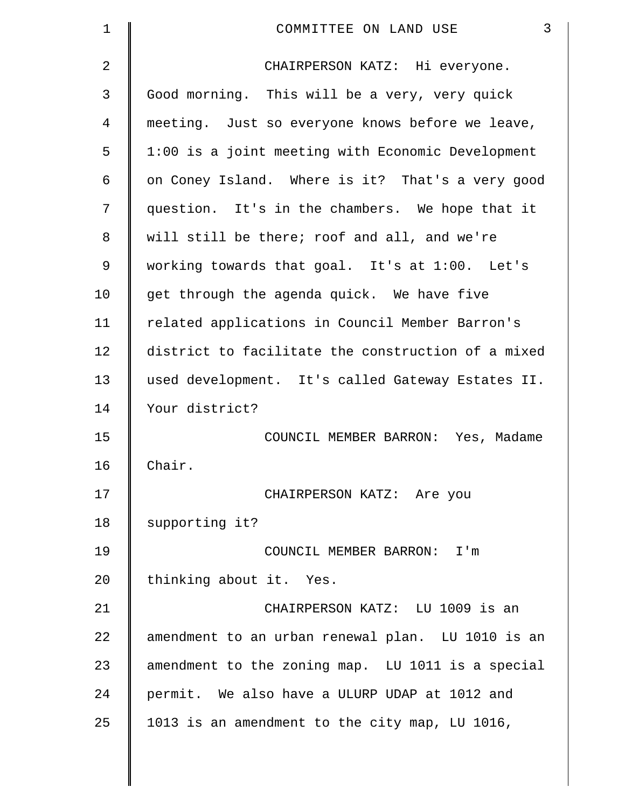| $\mathbf 1$ | 3<br>COMMITTEE ON LAND USE                         |
|-------------|----------------------------------------------------|
| 2           | CHAIRPERSON KATZ: Hi everyone.                     |
| 3           | Good morning. This will be a very, very quick      |
| 4           | meeting. Just so everyone knows before we leave,   |
| 5           | 1:00 is a joint meeting with Economic Development  |
| 6           | on Coney Island. Where is it? That's a very good   |
| 7           | question. It's in the chambers. We hope that it    |
| 8           | will still be there; roof and all, and we're       |
| 9           | working towards that goal. It's at 1:00. Let's     |
| 10          | get through the agenda quick. We have five         |
| 11          | related applications in Council Member Barron's    |
| 12          | district to facilitate the construction of a mixed |
| 13          | used development. It's called Gateway Estates II.  |
| 14          | Your district?                                     |
| 15          | COUNCIL MEMBER BARRON: Yes, Madame                 |
| 16          | Chair.                                             |
| 17          | CHAIRPERSON KATZ: Are you                          |
| 18          | supporting it?                                     |
| 19          | COUNCIL MEMBER BARRON: I'm                         |
| 20          | thinking about it. Yes.                            |
| 21          | CHAIRPERSON KATZ: LU 1009 is an                    |
| 22          | amendment to an urban renewal plan. LU 1010 is an  |
| 23          | amendment to the zoning map. LU 1011 is a special  |
| 24          | permit. We also have a ULURP UDAP at 1012 and      |
| 25          | 1013 is an amendment to the city map, LU 1016,     |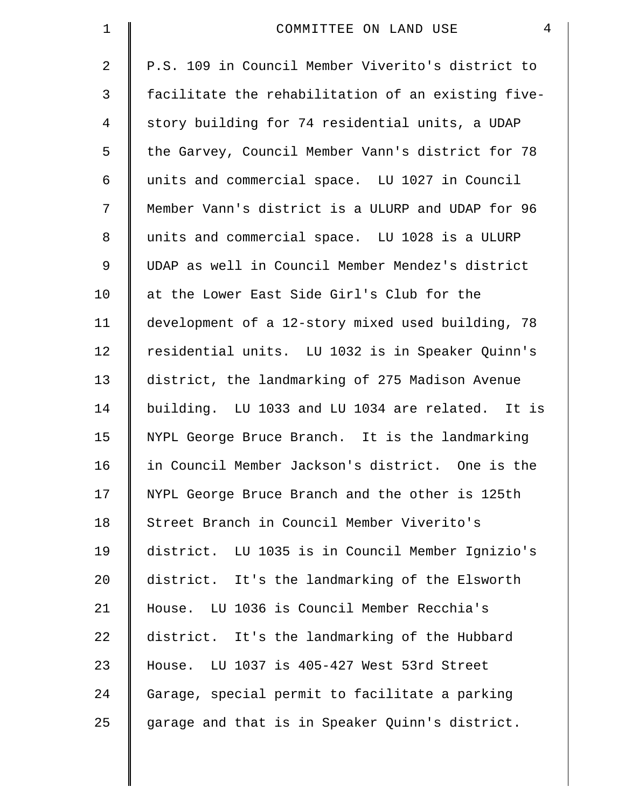| $\mathbf 1$    | $\overline{4}$<br>COMMITTEE ON LAND USE            |
|----------------|----------------------------------------------------|
| $\overline{2}$ | P.S. 109 in Council Member Viverito's district to  |
| 3              | facilitate the rehabilitation of an existing five- |
| $\overline{4}$ | story building for 74 residential units, a UDAP    |
| 5              | the Garvey, Council Member Vann's district for 78  |
| 6              | units and commercial space. LU 1027 in Council     |
| 7              | Member Vann's district is a ULURP and UDAP for 96  |
| 8              | units and commercial space. LU 1028 is a ULURP     |
| 9              | UDAP as well in Council Member Mendez's district   |
| 10             | at the Lower East Side Girl's Club for the         |
| 11             | development of a 12-story mixed used building, 78  |
| 12             | residential units. LU 1032 is in Speaker Quinn's   |
| 13             | district, the landmarking of 275 Madison Avenue    |
| 14             | building. LU 1033 and LU 1034 are related. It is   |
| 15             | NYPL George Bruce Branch. It is the landmarking    |
| 16             | in Council Member Jackson's district. One is the   |
| 17             | NYPL George Bruce Branch and the other is 125th    |
| 18             | Street Branch in Council Member Viverito's         |
| 19             | district. LU 1035 is in Council Member Ignizio's   |
| 20             | district. It's the landmarking of the Elsworth     |
| 21             | House. LU 1036 is Council Member Recchia's         |
| 22             | district. It's the landmarking of the Hubbard      |
| 23             | House. LU 1037 is 405-427 West 53rd Street         |
| 24             | Garage, special permit to facilitate a parking     |
| 25             | garage and that is in Speaker Quinn's district.    |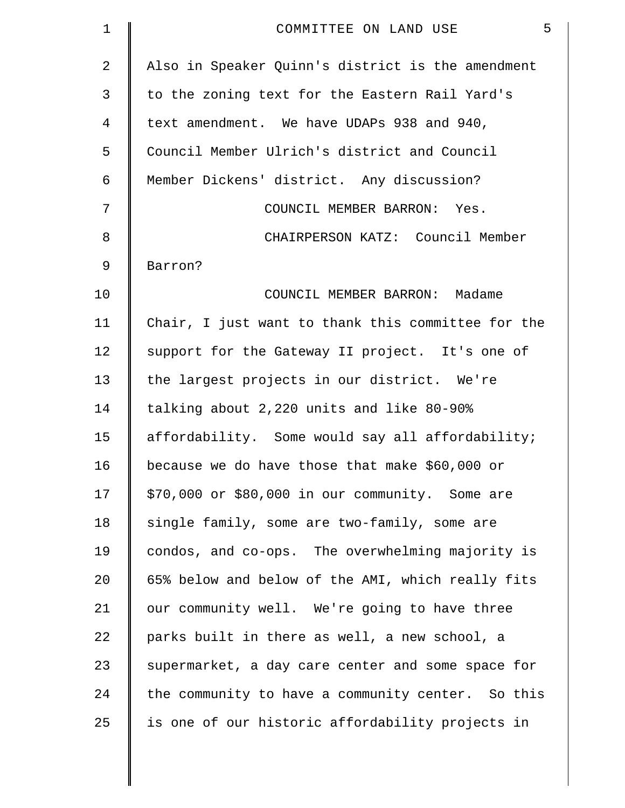| $\mathbf 1$ | 5<br>COMMITTEE ON LAND USE                         |
|-------------|----------------------------------------------------|
| 2           | Also in Speaker Quinn's district is the amendment  |
| 3           | to the zoning text for the Eastern Rail Yard's     |
| 4           | text amendment. We have UDAPs 938 and 940,         |
| 5           | Council Member Ulrich's district and Council       |
| 6           | Member Dickens' district. Any discussion?          |
| 7           | COUNCIL MEMBER BARRON: Yes.                        |
| 8           | CHAIRPERSON KATZ: Council Member                   |
| 9           | Barron?                                            |
| 10          | COUNCIL MEMBER BARRON: Madame                      |
| 11          | Chair, I just want to thank this committee for the |
| 12          | support for the Gateway II project. It's one of    |
| 13          | the largest projects in our district. We're        |
| 14          | talking about 2,220 units and like 80-90%          |
| 15          | affordability. Some would say all affordability;   |
| 16          | because we do have those that make \$60,000 or     |
| 17          | \$70,000 or \$80,000 in our community. Some are    |
| 18          | single family, some are two-family, some are       |
| 19          | condos, and co-ops. The overwhelming majority is   |
| 20          | 65% below and below of the AMI, which really fits  |
| 21          | our community well. We're going to have three      |
| 22          | parks built in there as well, a new school, a      |
| 23          | supermarket, a day care center and some space for  |
| 24          | the community to have a community center. So this  |
| 25          | is one of our historic affordability projects in   |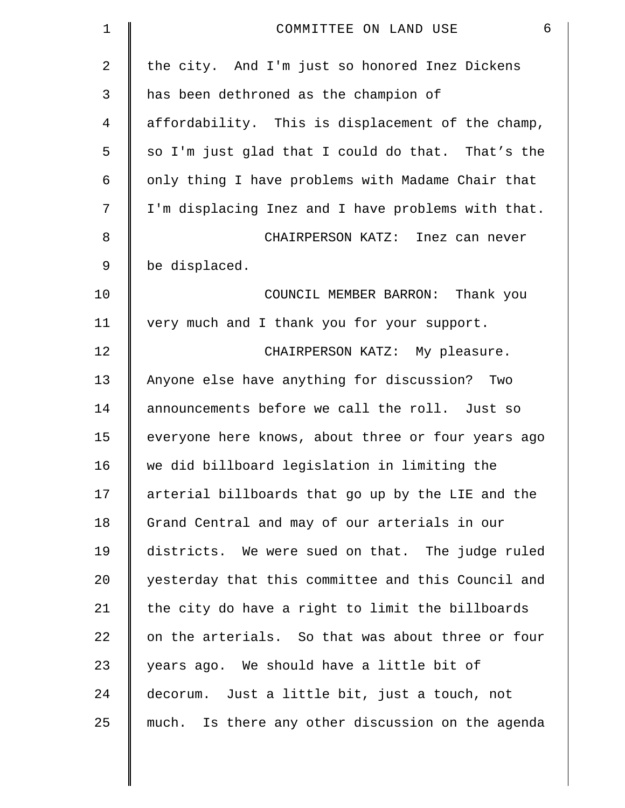| 1  | 6<br>COMMITTEE ON LAND USE                         |
|----|----------------------------------------------------|
| 2  | the city. And I'm just so honored Inez Dickens     |
| 3  | has been dethroned as the champion of              |
| 4  | affordability. This is displacement of the champ,  |
| 5  | so I'm just glad that I could do that. That's the  |
| 6  | only thing I have problems with Madame Chair that  |
| 7  | I'm displacing Inez and I have problems with that. |
| 8  | CHAIRPERSON KATZ: Inez can never                   |
| 9  | be displaced.                                      |
| 10 | COUNCIL MEMBER BARRON: Thank you                   |
| 11 | very much and I thank you for your support.        |
| 12 | CHAIRPERSON KATZ: My pleasure.                     |
| 13 | Anyone else have anything for discussion? Two      |
| 14 | announcements before we call the roll. Just so     |
| 15 | everyone here knows, about three or four years ago |
| 16 | we did billboard legislation in limiting the       |
| 17 | arterial billboards that go up by the LIE and the  |
| 18 | Grand Central and may of our arterials in our      |
| 19 | districts. We were sued on that. The judge ruled   |
| 20 | yesterday that this committee and this Council and |
| 21 | the city do have a right to limit the billboards   |
| 22 | on the arterials. So that was about three or four  |
| 23 | years ago. We should have a little bit of          |
| 24 | decorum. Just a little bit, just a touch, not      |
| 25 | much. Is there any other discussion on the agenda  |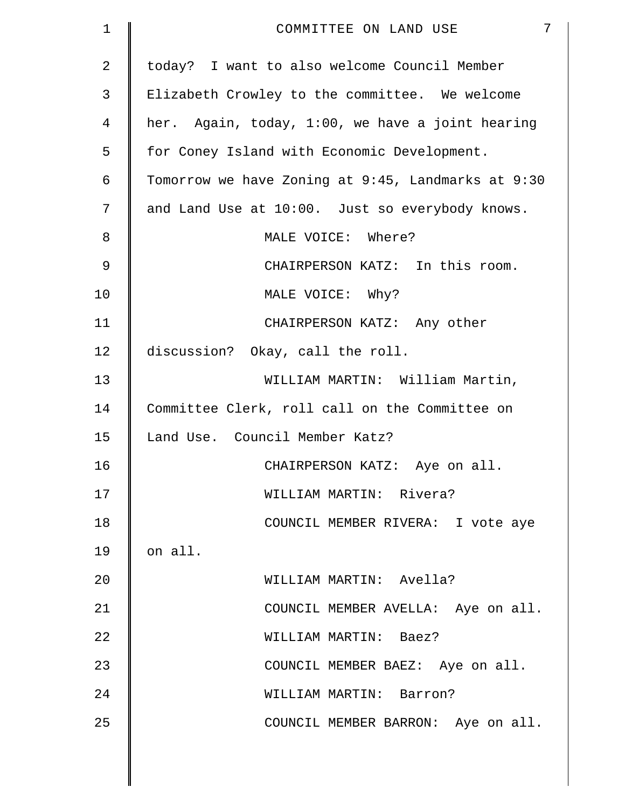| 1  | $7\phantom{.}$<br>COMMITTEE ON LAND USE            |
|----|----------------------------------------------------|
| 2  | today? I want to also welcome Council Member       |
| 3  | Elizabeth Crowley to the committee. We welcome     |
| 4  | her. Again, today, 1:00, we have a joint hearing   |
| 5  | for Coney Island with Economic Development.        |
| 6  | Tomorrow we have Zoning at 9:45, Landmarks at 9:30 |
| 7  | and Land Use at 10:00. Just so everybody knows.    |
| 8  | MALE VOICE: Where?                                 |
| 9  | CHAIRPERSON KATZ: In this room.                    |
| 10 | MALE VOICE: Why?                                   |
| 11 | CHAIRPERSON KATZ: Any other                        |
| 12 | discussion? Okay, call the roll.                   |
| 13 | WILLIAM MARTIN: William Martin,                    |
| 14 | Committee Clerk, roll call on the Committee on     |
| 15 | Land Use. Council Member Katz?                     |
| 16 | CHAIRPERSON KATZ: Aye on all.                      |
| 17 | WILLIAM MARTIN: Rivera?                            |
| 18 | COUNCIL MEMBER RIVERA: I vote aye                  |
| 19 | on all.                                            |
| 20 | WILLIAM MARTIN: Avella?                            |
| 21 | COUNCIL MEMBER AVELLA: Aye on all.                 |
| 22 | WILLIAM MARTIN: Baez?                              |
| 23 | COUNCIL MEMBER BAEZ: Aye on all.                   |
| 24 | WILLIAM MARTIN: Barron?                            |
| 25 | COUNCIL MEMBER BARRON: Aye on all.                 |
|    |                                                    |
|    |                                                    |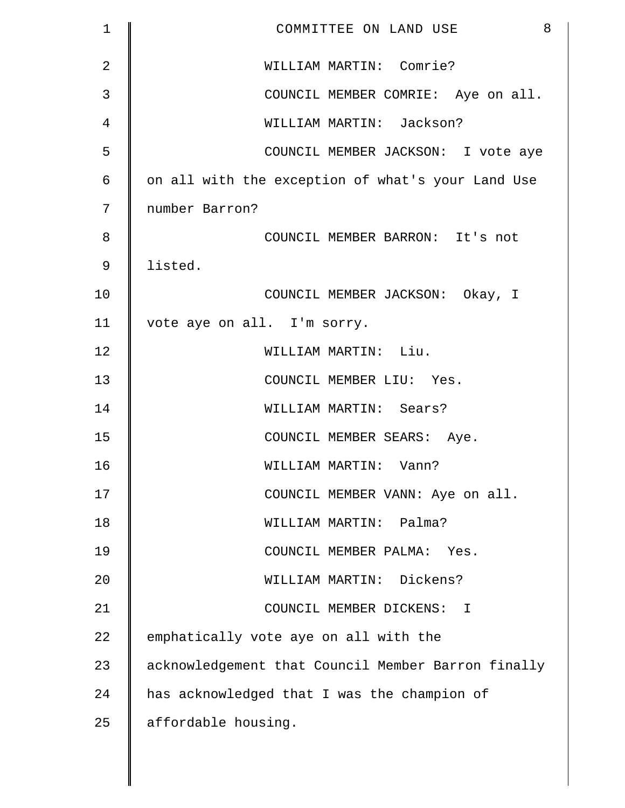| $\mathbf 1$ | 8<br>COMMITTEE ON LAND USE                         |
|-------------|----------------------------------------------------|
| 2           | WILLIAM MARTIN: Comrie?                            |
| 3           | COUNCIL MEMBER COMRIE: Aye on all.                 |
| 4           | WILLIAM MARTIN: Jackson?                           |
| 5           | COUNCIL MEMBER JACKSON: I vote aye                 |
| 6           | on all with the exception of what's your Land Use  |
| 7           | number Barron?                                     |
| 8           | COUNCIL MEMBER BARRON: It's not                    |
| 9           | listed.                                            |
| 10          | COUNCIL MEMBER JACKSON: Okay, I                    |
| 11          | vote aye on all. I'm sorry.                        |
| 12          | WILLIAM MARTIN: Liu.                               |
| 13          | COUNCIL MEMBER LIU: Yes.                           |
| 14          | WILLIAM MARTIN: Sears?                             |
| 15          | COUNCIL MEMBER SEARS: Aye.                         |
| 16          | WILLIAM MARTIN: Vann?                              |
| 17          | COUNCIL MEMBER VANN: Aye on all.                   |
| 18          | WILLIAM MARTIN: Palma?                             |
| 19          | COUNCIL MEMBER PALMA: Yes.                         |
| 20          | WILLIAM MARTIN: Dickens?                           |
| 21          | COUNCIL MEMBER DICKENS: I                          |
| 22          | emphatically vote aye on all with the              |
| 23          | acknowledgement that Council Member Barron finally |
| 24          | has acknowledged that I was the champion of        |
| 25          | affordable housing.                                |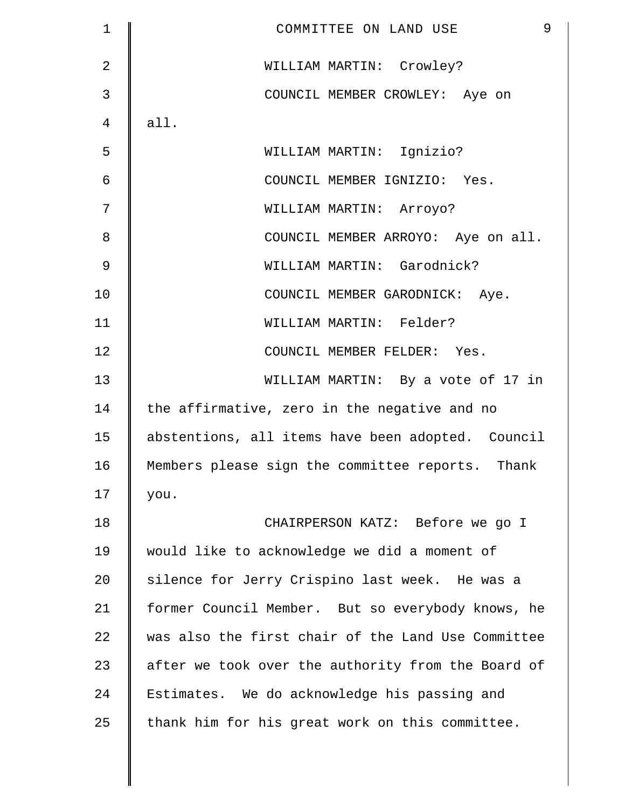| $\mathbf 1$    | 9<br>COMMITTEE ON LAND USE                         |
|----------------|----------------------------------------------------|
| $\overline{2}$ | WILLIAM MARTIN: Crowley?                           |
| 3              | COUNCIL MEMBER CROWLEY: Aye on                     |
| 4              | all.                                               |
| 5              | WILLIAM MARTIN: Ignizio?                           |
| 6              | COUNCIL MEMBER IGNIZIO: Yes.                       |
| 7              | WILLIAM MARTIN: Arroyo?                            |
| 8              | COUNCIL MEMBER ARROYO: Aye on all.                 |
| 9              | WILLIAM MARTIN: Garodnick?                         |
| 10             | COUNCIL MEMBER GARODNICK: Aye.                     |
| 11             | WILLIAM MARTIN: Felder?                            |
| 12             | COUNCIL MEMBER FELDER: Yes.                        |
| 13             | WILLIAM MARTIN: By a vote of 17 in                 |
| 14             | the affirmative, zero in the negative and no       |
| 15             | abstentions, all items have been adopted. Council  |
| 16             | Members please sign the committee reports. Thank   |
| 17             | you.                                               |
| 18             | CHAIRPERSON KATZ: Before we go I                   |
| 19             | would like to acknowledge we did a moment of       |
| 20             | silence for Jerry Crispino last week. He was a     |
| 21             | former Council Member. But so everybody knows, he  |
| 22             | was also the first chair of the Land Use Committee |
| 23             | after we took over the authority from the Board of |
| 24             | Estimates. We do acknowledge his passing and       |
| 25             | thank him for his great work on this committee.    |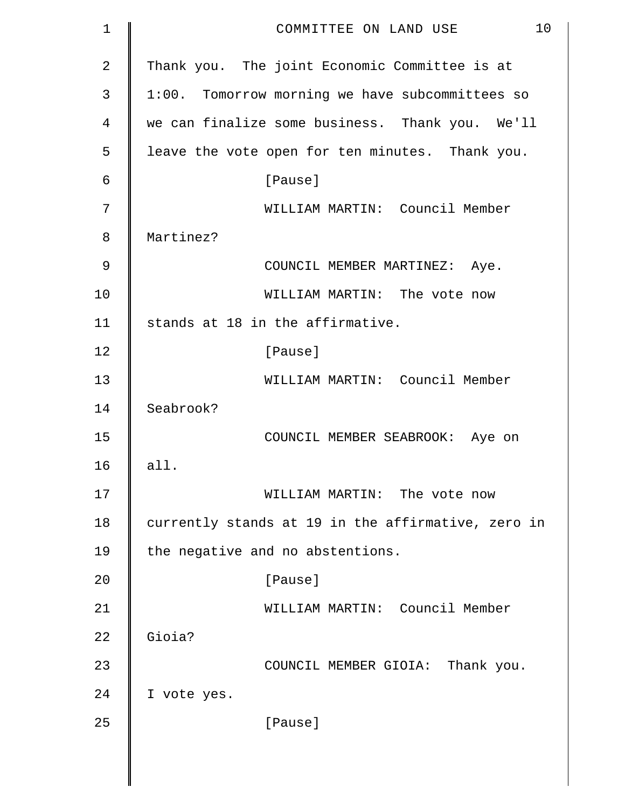| 1  | 10<br>COMMITTEE ON LAND USE                        |
|----|----------------------------------------------------|
| 2  | Thank you. The joint Economic Committee is at      |
| 3  | 1:00. Tomorrow morning we have subcommittees so    |
| 4  | we can finalize some business. Thank you. We'll    |
| 5  | leave the vote open for ten minutes. Thank you.    |
| 6  | [Pause]                                            |
| 7  | WILLIAM MARTIN: Council Member                     |
| 8  | Martinez?                                          |
| 9  | COUNCIL MEMBER MARTINEZ: Aye.                      |
| 10 | WILLIAM MARTIN: The vote now                       |
| 11 | stands at 18 in the affirmative.                   |
| 12 | [Pause]                                            |
| 13 | WILLIAM MARTIN: Council Member                     |
| 14 | Seabrook?                                          |
| 15 | COUNCIL MEMBER SEABROOK: Aye on                    |
| 16 | all.                                               |
| 17 | WILLIAM MARTIN: The vote now                       |
| 18 | currently stands at 19 in the affirmative, zero in |
| 19 | the negative and no abstentions.                   |
| 20 | [Pause]                                            |
| 21 | WILLIAM MARTIN: Council Member                     |
| 22 | Gioia?                                             |
| 23 | COUNCIL MEMBER GIOIA: Thank you.                   |
| 24 | I vote yes.                                        |
| 25 | [Pause]                                            |
|    |                                                    |
|    |                                                    |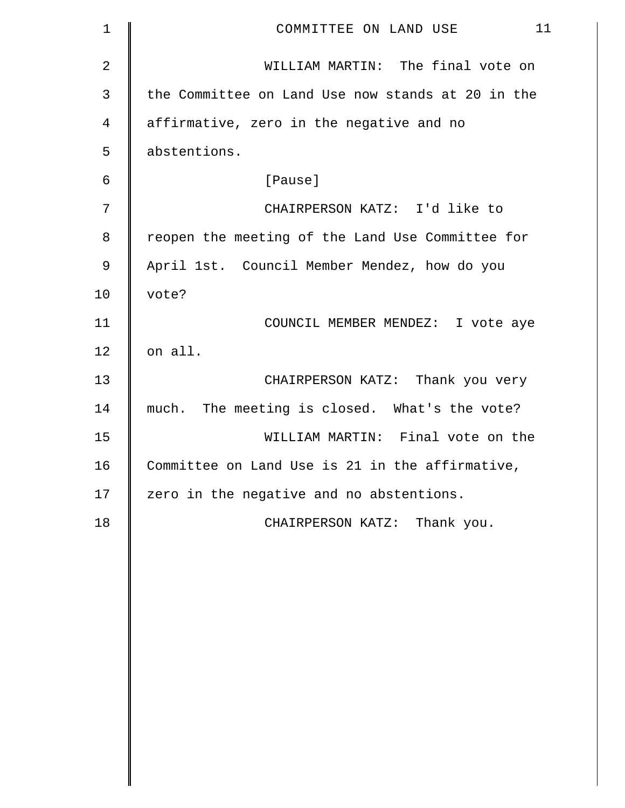| 1              | 11<br>COMMITTEE ON LAND USE                       |
|----------------|---------------------------------------------------|
| $\overline{2}$ | WILLIAM MARTIN: The final vote on                 |
| 3              | the Committee on Land Use now stands at 20 in the |
| 4              | affirmative, zero in the negative and no          |
| 5              | abstentions.                                      |
| 6              | [Pause]                                           |
| 7              | CHAIRPERSON KATZ: I'd like to                     |
| 8              | reopen the meeting of the Land Use Committee for  |
| $\mathsf 9$    | April 1st. Council Member Mendez, how do you      |
| 10             | vote?                                             |
| 11             | COUNCIL MEMBER MENDEZ: I vote aye                 |
| 12             | on all.                                           |
| 13             | CHAIRPERSON KATZ: Thank you very                  |
| 14             | much. The meeting is closed. What's the vote?     |
| 15             | WILLIAM MARTIN: Final vote on the                 |
| 16             | Committee on Land Use is 21 in the affirmative,   |
| 17             | zero in the negative and no abstentions.          |
| 18             | CHAIRPERSON KATZ: Thank you.                      |
|                |                                                   |
|                |                                                   |
|                |                                                   |
|                |                                                   |
|                |                                                   |
|                |                                                   |
|                |                                                   |
|                |                                                   |
|                |                                                   |